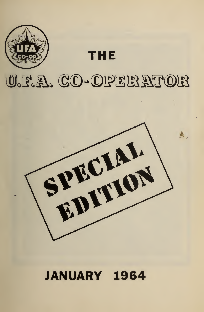

### THE

# U.F.A. CO-OPERATOR



## JANUARY 1964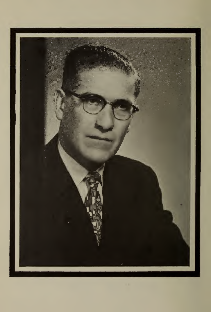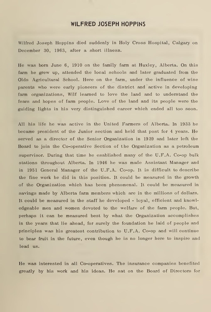#### WILFRED JOSEPH HOPPINS

Wilfred Joseph Hoppins died suddenly in Holy Cross Hospital, Calgary on December 30, 1963, after a short illness.

He was born June 6, 1910 on the family farm at Huxley, Alberta. On this farm he grew up, attended the local schools and later graduated from the Olds Agricultural School. Here on the farm, under the influence of wise parents who were early pioneers of the district and active in developing farm organizations, Wilf learned to love the land and to understand the fears and hopes of farm people. Love of the land and its people were the guiding lights in his very distinguished career which ended all too soon.

All his life he was active in the United Farmers of Alberta. In 1933 he became president of the Junior section and held that post for <sup>4</sup> years. He served as a director of the Senior Organization in 19 39 and later left the Board to join the Co-operative Section of the Organization as a petroleum supervisor. During that time he esablished many of the U.F.A. Co-op bulk stations throughout Alberta. In 1946 he was made Assistant Manager and in 1951 General Manager of the U.F.A. Co-op. It is difficult to describe the fine work he did in this position. It could be measured in the growth of the Organization which has been phenomenal. It could be measured in savings made by Alberta farm members which are in the millions of dollars. It could be measured in the staff he developed - loyal, efficient and knowledgeable men and women devoted to the welfare of the farm people. But, perhaps it can be measured best by what the Organization accomplishes in the years that lie ahead, for surely the foundation he laid of people and principles was his greatest contribution to U.F.A. Co-op and will continue to bear fruit in the future, even though he is no longer here to inspire and lead us.

He was interested in all Co-operatives. The insurance companies benefited greatly by his work and his ideas. He sat on the Board of Directors for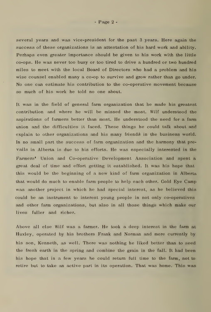several years and was vice-president for the past 3 years. Here again the success of these organizations is an attestation of his hard work and ability. Perhaps even greater importance should be given to his work with the little co-ops. He was never too busy or too tired to drive a hundred or two hundred miles to meet with the local Board of Directors who had a problem and his wise counsel enabled many a co-op to survive and grow rather than go under. No one can estimate his contribution to the co-operative movement because so much of his work he told no one about.

It was in the field of general farm organization that he made his greatest contribution and where he will be missed the most. Wilf understood the aspirations of farmers better than most. He understood the need for a farm union and the difficulties it faced. These things he could talk about and explain to other organizations and his many friends in the business world. In no small part the success of farm organization and the harmony that pre vails in Alberta is due to his efforts. He was especially interested in the Farmers' Union and Co-operative Development Association and spent a great deal of time and effort getting it established. It was his hope that this would be the beginning of a new kind of farm organization in Alberta that would do much to enable farm people to help each other. Gold Eye Camp was another project in which he had special interest, as he believed this could be an instrument to interest young people in not only co-operatives and other farm organizations, but also in all those things which make our lives fuller and richer.

Above all else Wilf was a farmer. He took a deep interest in the farm at Huxley, operated by his brothers Frank and Norman and more currently by his son, Kenneth, as well. There was nothing he liked better than to seed the fresh earth in the spring and combine the grain in the fall. It had been his hope that in a few years he could return full time to the farm, not to retire but to take an active part in its operation. That was home. This was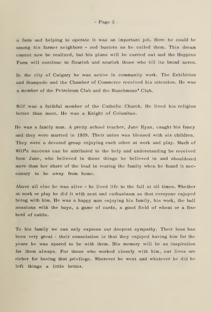a farm and helping to operate it was an important job. Here he could be among his farmer neighbors - sod busters as he called them. This dream cannot now be realized, but his plans will be carried out and the Hoppins Farm will continue to flourish and nourish those who till its broad acres.

In the city of Calgary he was active in community work. The Exhibition and Stampede and the Chamber of Commerce received his attention. He was a member of the Petroleum Club and the Ranchmens' Club.

Wilf was a faithful member of the Catholic Church. He lived his religion better than most. He was a Knight of Columbus.

He was a family man. A pretty school teacher, June Ryan, caught his fancy and they were married in 1939. Their union was blessed with six children. They were a devoted group enjoying each other at work and play. Much of Wilf's success can be attributed to the help and understanding he received from June, who believed in those things he believed in and shouldered more than her share of the load in rearing the family when he found it nec essary to be away from home.

Above all else he was alive - he lived life to the full at all times. Whether at work or play he did it with zest and enthusiasm so that everyone enjoyed being with him. He was a happy man enjoying his family, his work, the bull sessions with the boys, a game of cards, a good field of wheat or a fine herd of cattle.

To his family we can only express our deepest sympathy. Their loss has been very great - their consolation is that they enjoyed having him for the years he was spared to be with them. His memory will be an inspiration for them always. For those who worked closely with him, our lives are richer for having that privilege. Wherever he went and whatever he did he left things a little better.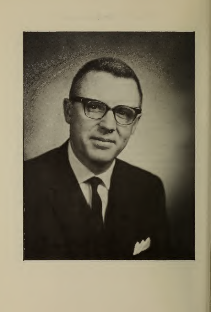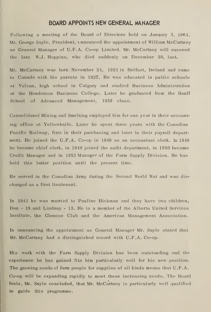#### BOARD APPOINTS NEW GENERAL MANAGER

Following a meeting of the Board of Directors held on January 3, 1964, Mr. George Sayle, President, announced the appointment of William McCartney as General Manager of U.F.A. Co-op Limited. Mr. McCartney will succeed the late W.J. Hoppins, who died suddenly on December 30, last.

Mr. McCartney was born November 24, 1921 in Belfast, Ireland and came to Canada with his parents in 1927. He was educated in public schools at Vulcan, high school in Calgary and studied Business Administration at the Henderson Business College. Later he graduated from the Banff School of Advanced Management, 1959 class.

Consolidated Mining and Smelting employed him for one year in their accounting office at Yellowknife. Later he spent three years with the Canadian Pacific Railway, first in their purchasing and later in their payroll depart ment. He joined the U.F.A. Co-op in 1946 as an accountant clerk. In 1948 he became chief clerk, in 1949 joined the audit department, in 1950 became Credit Manager and in 1953 Manager of the Farm Supply Division. He has held this latter position until the present time.

He served in the Canadian Army during the Second World War and was dis charged as a first lieutenant.

In 1941 he was married to Pauline Hickman and they have two children, Dan - 18 and Lindsay - 13. He is a member of the Alberta United Services Institute, the Glencoe Club and the American Management Association.

In announcing the appointment as General Manager Mr. Sayle stated that Mr. McCartney had a distinguished record with U.F.A. Co-op.

His work with the Farm Supply Division has been outstanding and the experience he has gained fits him particularly well for his new position. The growing needs of farm people for supplies of all kinds means that U.F.A. Co-op will be expanding rapidly to meet these increasing needs. The Board feels, Mr. Sayle concluded, that Mr. McCartney is particularly well qualified to guide this programme.